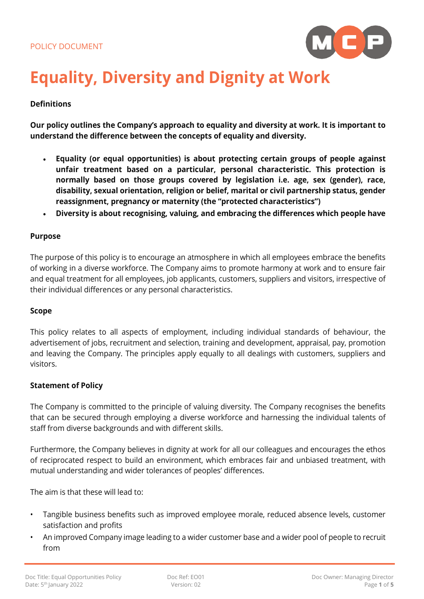

# **Equality, Diversity and Dignity at Work**

# **Definitions**

**Our policy outlines the Company's approach to equality and diversity at work. It is important to understand the difference between the concepts of equality and diversity.**

- **Equality (or equal opportunities) is about protecting certain groups of people against unfair treatment based on a particular, personal characteristic. This protection is normally based on those groups covered by legislation i.e. age, sex (gender), race, disability, sexual orientation, religion or belief, marital or civil partnership status, gender reassignment, pregnancy or maternity (the "protected characteristics")**
- **Diversity is about recognising, valuing, and embracing the differences which people have**

#### **Purpose**

The purpose of this policy is to encourage an atmosphere in which all employees embrace the benefits of working in a diverse workforce. The Company aims to promote harmony at work and to ensure fair and equal treatment for all employees, job applicants, customers, suppliers and visitors, irrespective of their individual differences or any personal characteristics.

#### **Scope**

This policy relates to all aspects of employment, including individual standards of behaviour, the advertisement of jobs, recruitment and selection, training and development, appraisal, pay, promotion and leaving the Company. The principles apply equally to all dealings with customers, suppliers and visitors.

#### **Statement of Policy**

The Company is committed to the principle of valuing diversity. The Company recognises the benefits that can be secured through employing a diverse workforce and harnessing the individual talents of staff from diverse backgrounds and with different skills.

Furthermore, the Company believes in dignity at work for all our colleagues and encourages the ethos of reciprocated respect to build an environment, which embraces fair and unbiased treatment, with mutual understanding and wider tolerances of peoples' differences.

The aim is that these will lead to:

- Tangible business benefits such as improved employee morale, reduced absence levels, customer satisfaction and profits
- An improved Company image leading to a wider customer base and a wider pool of people to recruit from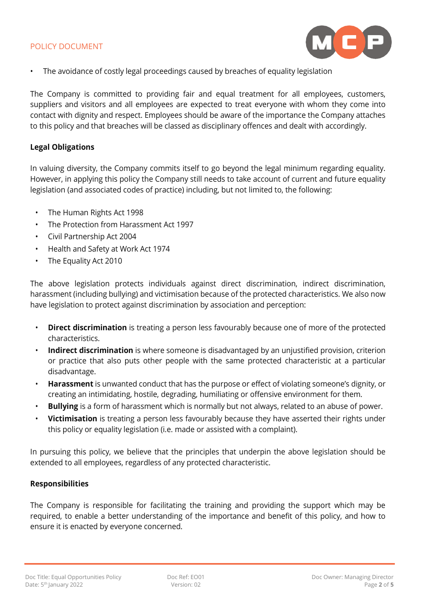

The avoidance of costly legal proceedings caused by breaches of equality legislation

The Company is committed to providing fair and equal treatment for all employees, customers, suppliers and visitors and all employees are expected to treat everyone with whom they come into contact with dignity and respect. Employees should be aware of the importance the Company attaches to this policy and that breaches will be classed as disciplinary offences and dealt with accordingly.

# **Legal Obligations**

In valuing diversity, the Company commits itself to go beyond the legal minimum regarding equality. However, in applying this policy the Company still needs to take account of current and future equality legislation (and associated codes of practice) including, but not limited to, the following:

- The Human Rights Act 1998
- The Protection from Harassment Act 1997
- Civil Partnership Act 2004
- Health and Safety at Work Act 1974
- The Equality Act 2010

The above legislation protects individuals against direct discrimination, indirect discrimination, harassment (including bullying) and victimisation because of the protected characteristics. We also now have legislation to protect against discrimination by association and perception:

- **Direct discrimination** is treating a person less favourably because one of more of the protected characteristics.
- **Indirect discrimination** is where someone is disadvantaged by an unjustified provision, criterion or practice that also puts other people with the same protected characteristic at a particular disadvantage.
- **Harassment** is unwanted conduct that has the purpose or effect of violating someone's dignity, or creating an intimidating, hostile, degrading, humiliating or offensive environment for them.
- **Bullying** is a form of harassment which is normally but not always, related to an abuse of power.
- **Victimisation** is treating a person less favourably because they have asserted their rights under this policy or equality legislation (i.e. made or assisted with a complaint).

In pursuing this policy, we believe that the principles that underpin the above legislation should be extended to all employees, regardless of any protected characteristic.

# **Responsibilities**

The Company is responsible for facilitating the training and providing the support which may be required, to enable a better understanding of the importance and benefit of this policy, and how to ensure it is enacted by everyone concerned.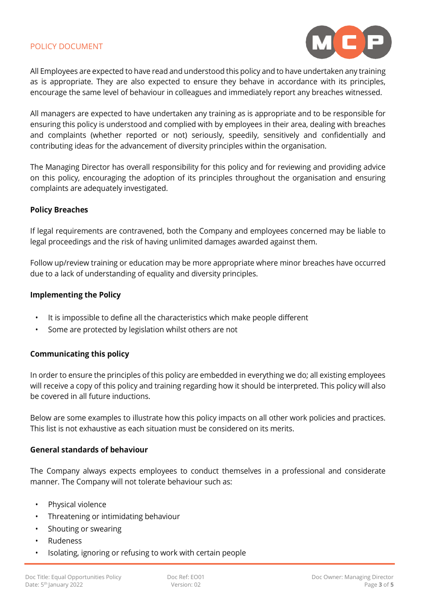

All Employees are expected to have read and understood this policy and to have undertaken any training as is appropriate. They are also expected to ensure they behave in accordance with its principles, encourage the same level of behaviour in colleagues and immediately report any breaches witnessed.

All managers are expected to have undertaken any training as is appropriate and to be responsible for ensuring this policy is understood and complied with by employees in their area, dealing with breaches and complaints (whether reported or not) seriously, speedily, sensitively and confidentially and contributing ideas for the advancement of diversity principles within the organisation.

The Managing Director has overall responsibility for this policy and for reviewing and providing advice on this policy, encouraging the adoption of its principles throughout the organisation and ensuring complaints are adequately investigated.

#### **Policy Breaches**

If legal requirements are contravened, both the Company and employees concerned may be liable to legal proceedings and the risk of having unlimited damages awarded against them.

Follow up/review training or education may be more appropriate where minor breaches have occurred due to a lack of understanding of equality and diversity principles.

#### **Implementing the Policy**

- It is impossible to define all the characteristics which make people different
- Some are protected by legislation whilst others are not

#### **Communicating this policy**

In order to ensure the principles of this policy are embedded in everything we do; all existing employees will receive a copy of this policy and training regarding how it should be interpreted. This policy will also be covered in all future inductions.

Below are some examples to illustrate how this policy impacts on all other work policies and practices. This list is not exhaustive as each situation must be considered on its merits.

#### **General standards of behaviour**

The Company always expects employees to conduct themselves in a professional and considerate manner. The Company will not tolerate behaviour such as:

- Physical violence
- Threatening or intimidating behaviour
- Shouting or swearing
- Rudeness
- Isolating, ignoring or refusing to work with certain people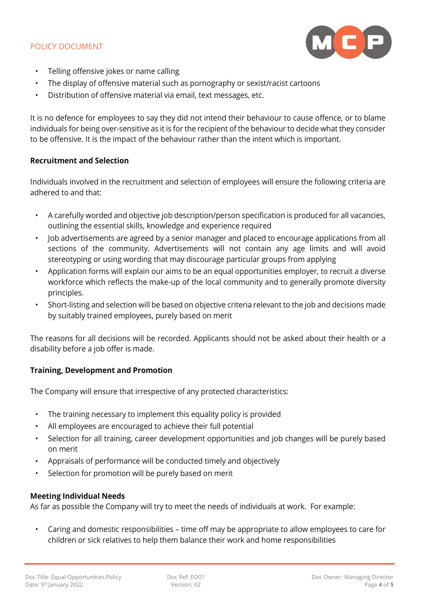

- Telling offensive jokes or name calling
- The display of offensive material such as pornography or sexist/racist cartoons
- Distribution of offensive material via email, text messages, etc.

It is no defence for employees to say they did not intend their behaviour to cause offence, or to blame individuals for being over-sensitive as it is for the recipient of the behaviour to decide what they consider to be offensive. It is the impact of the behaviour rather than the intent which is important.

# **Recruitment and Selection**

Individuals involved in the recruitment and selection of employees will ensure the following criteria are adhered to and that:

- A carefully worded and objective job description/person specification is produced for all vacancies, outlining the essential skills, knowledge and experience required
- Job advertisements are agreed by a senior manager and placed to encourage applications from all sections of the community. Advertisements will not contain any age limits and will avoid stereotyping or using wording that may discourage particular groups from applying
- Application forms will explain our aims to be an equal opportunities employer, to recruit a diverse workforce which reflects the make-up of the local community and to generally promote diversity principles.
- Short-listing and selection will be based on objective criteria relevant to the job and decisions made by suitably trained employees, purely based on merit

The reasons for all decisions will be recorded. Applicants should not be asked about their health or a disability before a job offer is made.

# **Training, Development and Promotion**

The Company will ensure that irrespective of any protected characteristics:

- The training necessary to implement this equality policy is provided
- All employees are encouraged to achieve their full potential
- Selection for all training, career development opportunities and job changes will be purely based on merit
- Appraisals of performance will be conducted timely and objectively
- Selection for promotion will be purely based on merit

# **Meeting Individual Needs**

As far as possible the Company will try to meet the needs of individuals at work. For example:

• Caring and domestic responsibilities – time off may be appropriate to allow employees to care for children or sick relatives to help them balance their work and home responsibilities